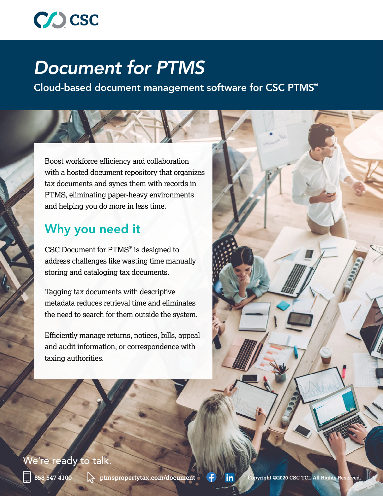

# *Document for PTMS*

Cloud-based document management software for CSC PTMS®

Boost workforce efficiency and collaboration with a hosted document repository that organizes tax documents and syncs them with records in PTMS, eliminating paper-heavy environments and helping you do more in less time.

## Why you need it

CSC Document for PTMS® is designed to address challenges like wasting time manually storing and cataloging tax documents.

Tagging tax documents with descriptive metadata reduces retrieval time and eliminates the need to search for them outside the system.

Efficiently manage returns, notices, bills, appeal and audit information, or correspondence with taxing authorities.

#### We're ready to talk.